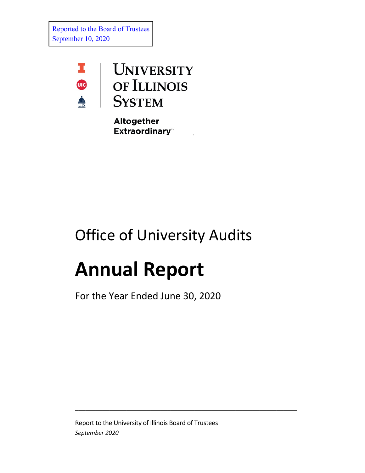Reported to the Board of Trustees September 10, 2020



Altogether **Extraordinary**<sup>\*</sup>

.

## Office of University Audits

# **Annual Report**

For the Year Ended June 30, 2020

Report to the University of Illinois Board of Trustees *September 2020*

\_\_\_\_\_\_\_\_\_\_\_\_\_\_\_\_\_\_\_\_\_\_\_\_\_\_\_\_\_\_\_\_\_\_\_\_\_\_\_\_\_\_\_\_\_\_\_\_\_\_\_\_\_\_\_\_\_\_\_\_\_\_\_\_\_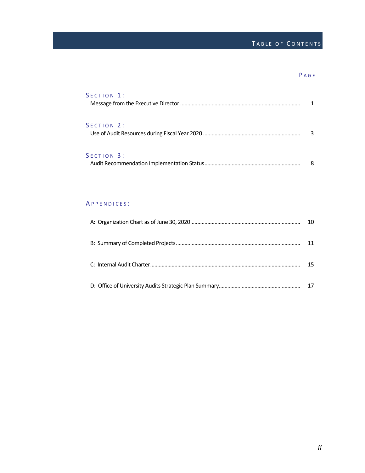### TABLE OF CONTENTS

#### P AGE

| SECTION 1:       |  |
|------------------|--|
|                  |  |
| $S$ FCTION $2$ : |  |
| SECTION 3:       |  |

| . |  |
|---|--|
|   |  |

#### A PPENDICES :

| 15 |
|----|
|    |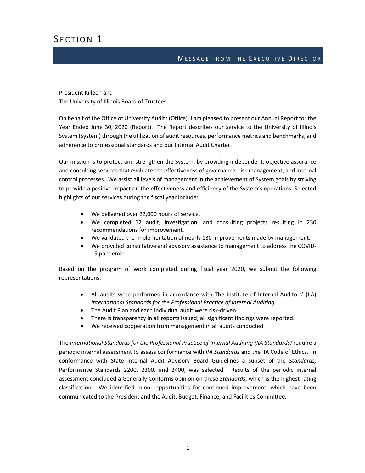## SECTION 1

#### MESSAGE FROM THE EXECUTIVE DIRECTOR

President Killeen and The University of Illinois Board of Trustees

On behalf of the Office of University Audits (Office), I am pleased to present our Annual Report for the Year Ended June 30, 2020 (Report). The Report describes our service to the University of Illinois System (System) through the utilization of audit resources, performance metrics and benchmarks, and adherence to professional standards and our Internal Audit Charter.

Our mission is to protect and strengthen the System, by providing independent, objective assurance and consulting services that evaluate the effectiveness of governance, risk management, and internal control processes. We assist all levels of management in the achievement of System goals by striving to provide a positive impact on the effectiveness and efficiency of the System's operations. Selected highlights of our services during the fiscal year include:

- We delivered over 22,000 hours of service.
- We completed 52 audit, investigation, and consulting projects resulting in 230 recommendations for improvement.
- We validated the implementation of nearly 130 improvements made by management.
- We provided consultative and advisory assistance to management to address the COVID-19 pandemic.

Based on the program of work completed during fiscal year 2020, we submit the following representations:

- All audits were performed in accordance with The Institute of Internal Auditors' (IIA) *International Standards for the Professional Practice of Internal Auditing.*
- The Audit Plan and each individual audit were risk-driven.
- There is transparency in all reports issued; all significant findings were reported.
- We received cooperation from management in all audits conducted.

The *International Standards for the Professional Practice of Internal Auditing (IIA Standards)* require a periodic internal assessment to assess conformance with *IIA Standards* and the IIA Code of Ethics. In conformance with State Internal Audit Advisory Board Guidelines a subset of the *Standards,*  Performance Standards 2200, 2300, and 2400, was selected. Results of the periodic internal assessment concluded a Generally Conforms opinion on these *Standards*, which is the highest rating classification. We identified minor opportunities for continued improvement, which have been communicated to the President and the Audit, Budget, Finance, and Facilities Committee*.*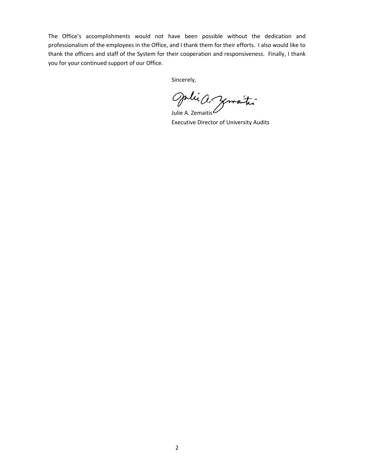The Office's accomplishments would not have been possible without the dedication and professionalism of the employees in the Office, and I thank them for their efforts. I also would like to thank the officers and staff of the System for their cooperation and responsiveness. Finally, I thank you for your continued support of our Office.

Sincerely,

Julie A. Zemaitis

Executive Director of University Audits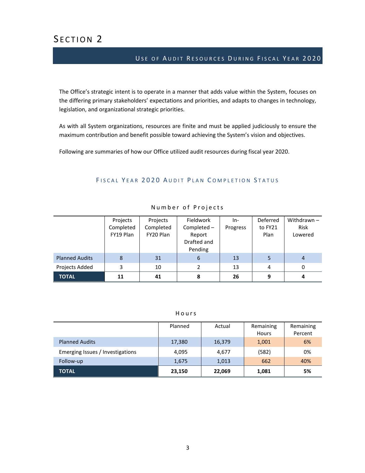## SECTION<sub>2</sub>

#### USE OF AUDIT RESOURCES DURING FISCAL YEAR 2020

The Office's strategic intent is to operate in a manner that adds value within the System, focuses on the differing primary stakeholders' expectations and priorities, and adapts to changes in technology, legislation, and organizational strategic priorities.

As with all System organizations, resources are finite and must be applied judiciously to ensure the maximum contribution and benefit possible toward achieving the System's vision and objectives.

Following are summaries of how our Office utilized audit resources during fiscal year 2020.

#### FISCAL YEAR 2020 AUDIT PLAN COMPLETION STATUS

|                       | Projects<br>Completed<br>FY19 Plan | Projects<br>Completed<br>FY20 Plan | Fieldwork<br>Completed-<br>Report<br>Drafted and<br>Pending | $In-$<br>Progress | Deferred<br>to FY21<br>Plan | Withdrawn $-$<br>Risk<br>Lowered |
|-----------------------|------------------------------------|------------------------------------|-------------------------------------------------------------|-------------------|-----------------------------|----------------------------------|
| <b>Planned Audits</b> | 8                                  | 31                                 | 6                                                           | 13                | 5                           |                                  |
| Projects Added        | 3                                  | 10                                 | 2                                                           | 13                | 4                           | 0                                |
| <b>TOTAL</b>          | 11                                 | 41                                 | 8                                                           | 26                | 9                           |                                  |

#### Number of Projects

#### Hours

|                                  | Planned | Actual | Remaining<br>Hours | Remaining<br>Percent |
|----------------------------------|---------|--------|--------------------|----------------------|
| <b>Planned Audits</b>            | 17,380  | 16,379 | 1,001              | 6%                   |
| Emerging Issues / Investigations | 4,095   | 4,677  | (582)              | 0%                   |
| Follow-up                        | 1,675   | 1,013  | 662                | 40%                  |
| <b>TOTAL</b>                     | 23,150  | 22,069 | 1,081              | 5%                   |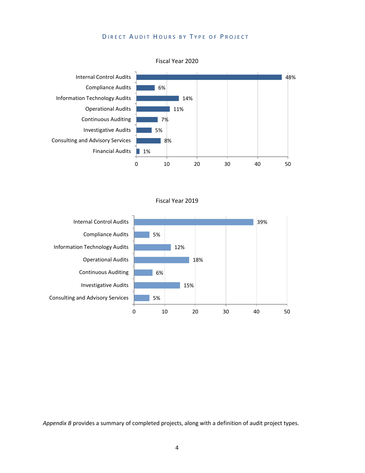#### DIRECT AUDIT HOURS BY TYPE OF PROJECT



Fiscal Year 2019



*Appendix B* provides a summary of completed projects, along with a definition of audit project types.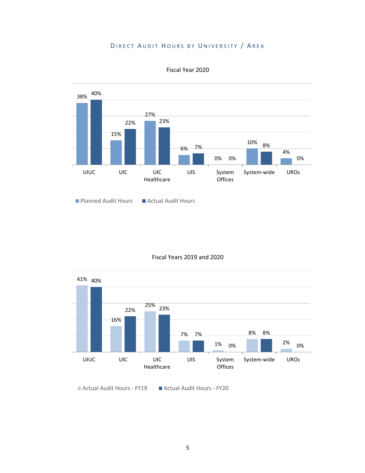#### DIRECT AUDIT HOURS BY UNIVERSITY / AREA



Fiscal Year 2020

#### Fiscal Years 2019 and 2020



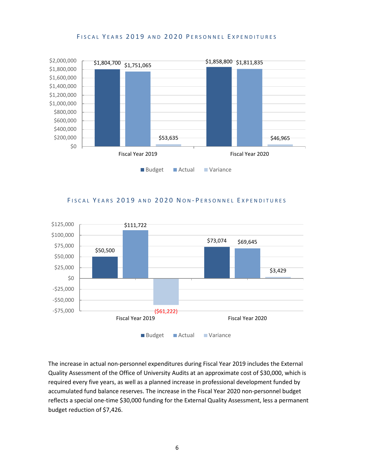#### FISCAL YEARS 2019 AND 2020 PERSONNEL EXPENDITURES



#### FISCAL YEARS 2019 AND 2020 NON-PERSONNEL EXPENDITURES



The increase in actual non-personnel expenditures during Fiscal Year 2019 includes the External Quality Assessment of the Office of University Audits at an approximate cost of \$30,000, which is required every five years, as well as a planned increase in professional development funded by accumulated fund balance reserves. The increase in the Fiscal Year 2020 non-personnel budget reflects a special one-time \$30,000 funding for the External Quality Assessment, less a permanent budget reduction of \$7,426.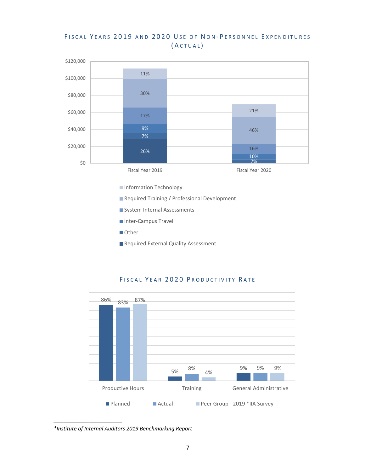#### FISCAL YEARS 2019 AND 2020 USE OF NON-PERSONNEL EXPENDITURES ( A CTUAL )



**Information Technology** 

- Required Training / Professional Development
- System Internal Assessments
- Inter-Campus Travel
- Other
- Required External Quality Assessment



#### FISCAL YEAR 2020 PRODUCTIVITY RATE

*\*Institute of Internal Auditors 2019 Benchmarking Report*

 $\frac{1}{2}$  ,  $\frac{1}{2}$  ,  $\frac{1}{2}$  ,  $\frac{1}{2}$  ,  $\frac{1}{2}$  ,  $\frac{1}{2}$  ,  $\frac{1}{2}$  ,  $\frac{1}{2}$  ,  $\frac{1}{2}$  ,  $\frac{1}{2}$  ,  $\frac{1}{2}$  ,  $\frac{1}{2}$  ,  $\frac{1}{2}$  ,  $\frac{1}{2}$  ,  $\frac{1}{2}$  ,  $\frac{1}{2}$  ,  $\frac{1}{2}$  ,  $\frac{1}{2}$  ,  $\frac{1$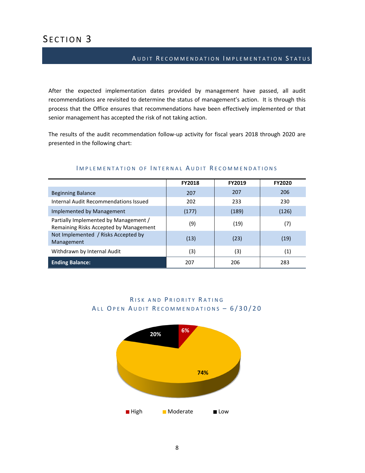## SECTION<sub>3</sub>

#### AUDIT RECOMMENDATION IMPLEMENTATION STATUS

After the expected implementation dates provided by management have passed, all audit recommendations are revisited to determine the status of management's action. It is through this process that the Office ensures that recommendations have been effectively implemented or that senior management has accepted the risk of not taking action.

The results of the audit recommendation follow-up activity for fiscal years 2018 through 2020 are presented in the following chart:

|                                                                                 | <b>FY2018</b> | <b>FY2019</b> | <b>FY2020</b> |
|---------------------------------------------------------------------------------|---------------|---------------|---------------|
| <b>Beginning Balance</b>                                                        | 207           | 207           | 206           |
| Internal Audit Recommendations Issued                                           | 202           | 233           | 230           |
| Implemented by Management                                                       | (177)         | (189)         | (126)         |
| Partially Implemented by Management /<br>Remaining Risks Accepted by Management | (9)           | (19)          | (7)           |
| Not Implemented / Risks Accepted by<br>Management                               | (13)          | (23)          | (19)          |
| Withdrawn by Internal Audit                                                     | (3)           | (3)           | (1)           |
| <b>Ending Balance:</b>                                                          | 207           | 206           | 283           |

#### IMPLEMENTATION OF INTERNAL AUDIT RECOMMENDATIONS

#### RISK AND PRIORITY RATING ALL OPEN AUDIT RECOMMENDATIONS - 6/30/20

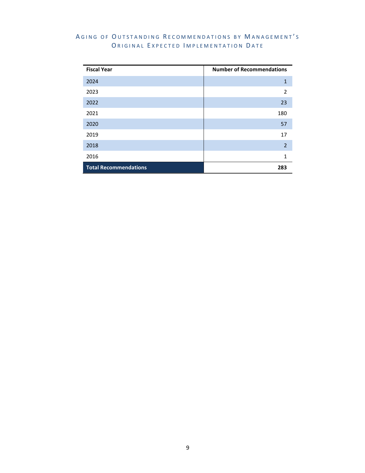#### AGING OF OUTSTANDING RECOMMENDATIONS BY MANAGEMENT'S ORIGINAL EXPECTED IMPLEMENTATION DATE

| <b>Fiscal Year</b>           | <b>Number of Recommendations</b> |
|------------------------------|----------------------------------|
| 2024                         | 1                                |
| 2023                         | $\overline{2}$                   |
| 2022                         | 23                               |
| 2021                         | 180                              |
| 2020                         | 57                               |
| 2019                         | 17                               |
| 2018                         | $\overline{2}$                   |
| 2016                         | $\mathbf{1}$                     |
| <b>Total Recommendations</b> | 283                              |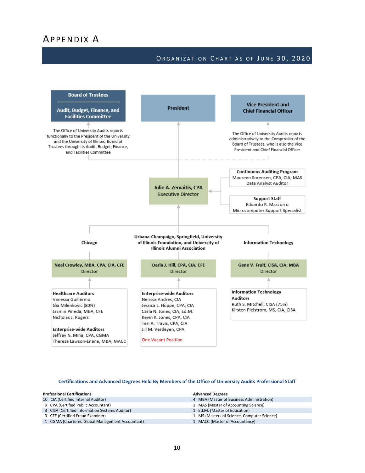#### ORGANIZATION CHART AS OF JUNE 30, 2020



#### **Certifications and Advanced Degrees Held By Members of the Office of University Audits Professional Staff**

| <b>Professional Certifications</b>              | <b>Advanced Degrees</b>                     |
|-------------------------------------------------|---------------------------------------------|
| 10 CIA (Certified Internal Auditor)             | 4 MBA (Master of Business Administration)   |
| 9 CPA (Certified Public Accountant)             | 1 MAS (Master of Accounting Science)        |
| 3 CISA (Certified Information Systems Auditor)  | 1 Ed.M. (Master of Education)               |
| 3 CFE (Certified Fraud Examiner)                | 1 MS (Masters of Science, Computer Science) |
| 1 CGMA (Chartered Global Management Accountant) | 1 MACC (Master of Accountancy)              |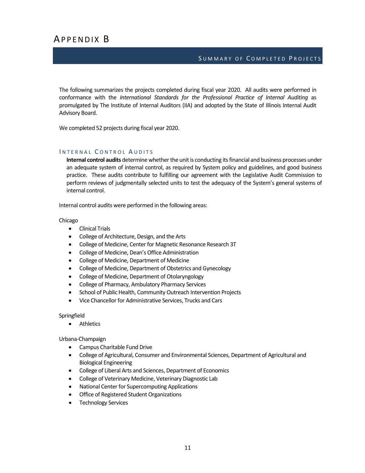## APPENDIX B

#### SUMMARY OF COMPLETED PROJECTS

The following summarizes the projects completed during fiscal year 2020. All audits were performed in conformance with the *International Standards for the Professional Practice of Internal Auditing* as promulgated by The Institute of Internal Auditors (IIA) and adopted by the State of Illinois Internal Audit Advisory Board.

We completed 52 projects during fiscal year 2020.

#### INTERNAL CONTROL AUDITS

**Internal control audits** determine whether the unit is conducting its financial and business processes under an adequate system of internal control, as required by System policy and guidelines, and good business practice. These audits contribute to fulfilling our agreement with the Legislative Audit Commission to perform reviews of judgmentally selected units to test the adequacy of the System's general systems of internal control.

Internal control audits were performed in the following areas:

Chicago

- Clinical Trials
- College of Architecture, Design, and the Arts
- College of Medicine, Center for Magnetic Resonance Research 3T
- College of Medicine, Dean's Office Administration
- College of Medicine, Department of Medicine
- College of Medicine, Department of Obstetrics and Gynecology
- College of Medicine, Department of Otolaryngology
- College of Pharmacy, Ambulatory Pharmacy Services
- School of Public Health, Community Outreach Intervention Projects
- Vice Chancellor for Administrative Services, Trucks and Cars

Springfield

• Athletics

Urbana-Champaign

- Campus Charitable Fund Drive
- College of Agricultural, Consumer and Environmental Sciences, Department of Agricultural and Biological Engineering
- College of Liberal Arts and Sciences, Department of Economics
- College of Veterinary Medicine, Veterinary Diagnostic Lab
- National Center for Supercomputing Applications
- Office of Registered Student Organizations
- **Technology Services**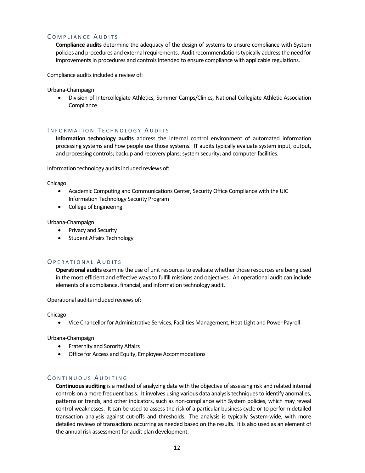#### COMPLIANCE AUDITS

**Compliance audits** determine the adequacy of the design of systems to ensure compliance with System policies and procedures and external requirements. Audit recommendations typically address the need for improvements in procedures and controls intended to ensure compliance with applicable regulations.

Compliance audits included a review of:

Urbana-Champaign

• Division of Intercollegiate Athletics, Summer Camps/Clinics, National Collegiate Athletic Association **Compliance** 

#### INFORMATION TECHNOLOGY AUDITS

**Information technology audits** address the internal control environment of automated information processing systems and how people use those systems. IT audits typically evaluate system input, output, and processing controls; backup and recovery plans; system security; and computer facilities.

Information technology audits included reviews of:

Chicago

- Academic Computing and Communications Center, Security Office Compliance with the UIC Information Technology Security Program
- College of Engineering

Urbana-Champaign

- Privacy and Security
- Student Affairs Technology

#### OPERATIONAL AUDITS

**Operational audits** examine the use of unit resources to evaluate whether those resources are being used in the most efficient and effective ways to fulfill missions and objectives. An operational audit can include elements of a compliance, financial, and information technology audit.

Operational audits included reviews of:

Chicago

• Vice Chancellor for Administrative Services, Facilities Management, Heat Light and Power Payroll

Urbana-Champaign

- Fraternity and Sorority Affairs
- Office for Access and Equity, Employee Accommodations

#### CONTINUOUS AUDITING

**Continuous auditing** is a method of analyzing data with the objective of assessing risk and related internal controls on a more frequent basis. It involves using various data analysis techniques to identify anomalies, patterns or trends, and other indicators, such as non-compliance with System policies, which may reveal control weaknesses. It can be used to assess the risk of a particular business cycle or to perform detailed transaction analysis against cut-offs and thresholds. The analysis is typically System-wide, with more detailed reviews of transactions occurring as needed based on the results. It is also used as an element of the annual risk assessment for audit plan development.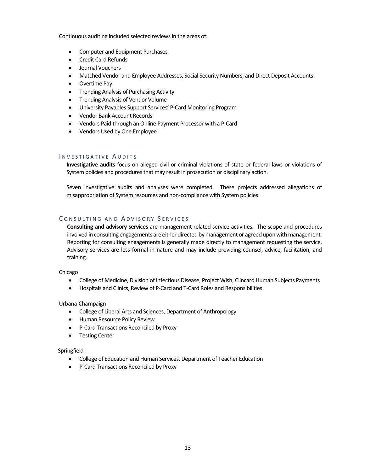Continuous auditing included selected reviews in the areas of:

- Computer and Equipment Purchases
- Credit Card Refunds
- Journal Vouchers
- Matched Vendor and Employee Addresses, Social Security Numbers, and Direct Deposit Accounts
- Overtime Pay
- Trending Analysis of Purchasing Activity
- Trending Analysis of Vendor Volume
- University Payables Support Services' P-Card Monitoring Program
- Vendor Bank Account Records
- Vendors Paid through an Online Payment Processor with a P-Card
- Vendors Used by One Employee

#### INVESTIGATIVE AUDITS

**Investigative audits** focus on alleged civil or criminal violations of state or federal laws or violations of System policies and procedures that may result in prosecution or disciplinary action.

Seven investigative audits and analyses were completed. These projects addressed allegations of misappropriation of System resources and non-compliance with System policies.

#### CONSULTING AND ADVISORY SERVICES

**Consulting and advisory services** are management related service activities. The scope and procedures involved in consulting engagements are either directed by management or agreed upon with management. Reporting for consulting engagements is generally made directly to management requesting the service. Advisory services are less formal in nature and may include providing counsel, advice, facilitation, and training.

Chicago

- College of Medicine, Division of Infectious Disease, Project Wish, Clincard Human Subjects Payments
- Hospitals and Clinics, Review of P-Card and T-Card Roles and Responsibilities

Urbana-Champaign

- College of Liberal Arts and Sciences, Department of Anthropology
- Human Resource Policy Review
- P-Card Transactions Reconciled by Proxy
- Testing Center

Springfield

- College of Education and Human Services, Department of Teacher Education
- P-Card Transactions Reconciled by Proxy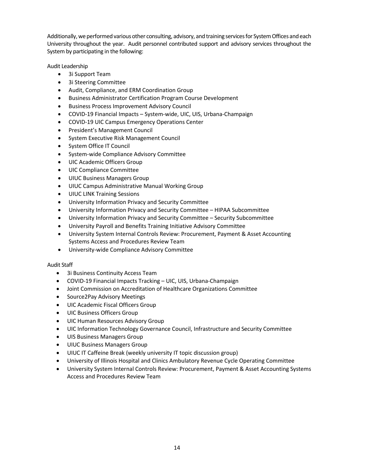Additionally, we performed various other consulting, advisory, and training services for System Offices and each University throughout the year. Audit personnel contributed support and advisory services throughout the System by participating in the following:

Audit Leadership

- 3i Support Team
- 3i Steering Committee
- Audit, Compliance, and ERM Coordination Group
- Business Administrator Certification Program Course Development
- Business Process Improvement Advisory Council
- COVID-19 Financial Impacts System-wide, UIC, UIS, Urbana-Champaign
- COVID-19 UIC Campus Emergency Operations Center
- President's Management Council
- System Executive Risk Management Council
- System Office IT Council
- System-wide Compliance Advisory Committee
- UIC Academic Officers Group
- UIC Compliance Committee
- UIUC Business Managers Group
- UIUC Campus Administrative Manual Working Group
- UIUC LINK Training Sessions
- University Information Privacy and Security Committee
- University Information Privacy and Security Committee HIPAA Subcommittee
- University Information Privacy and Security Committee Security Subcommittee
- University Payroll and Benefits Training Initiative Advisory Committee
- University System Internal Controls Review: Procurement, Payment & Asset Accounting Systems Access and Procedures Review Team
- University-wide Compliance Advisory Committee

#### Audit Staff

- 3i Business Continuity Access Team
- COVID-19 Financial Impacts Tracking UIC, UIS, Urbana-Champaign
- Joint Commission on Accreditation of Healthcare Organizations Committee
- Source2Pay Advisory Meetings
- UIC Academic Fiscal Officers Group
- UIC Business Officers Group
- UIC Human Resources Advisory Group
- UIC Information Technology Governance Council, Infrastructure and Security Committee
- UIS Business Managers Group
- UIUC Business Managers Group
- UIUC IT Caffeine Break (weekly university IT topic discussion group)
- University of Illinois Hospital and Clinics Ambulatory Revenue Cycle Operating Committee
- University System Internal Controls Review: Procurement, Payment & Asset Accounting Systems Access and Procedures Review Team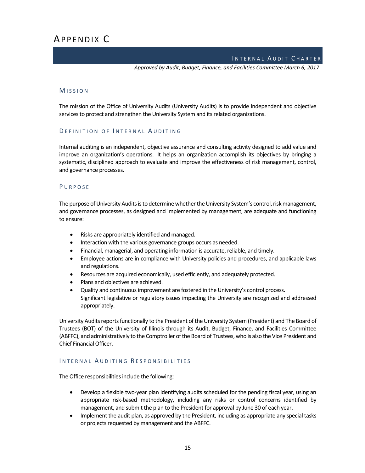#### INTERNAL AUDIT CHARTER

*Approved by Audit, Budget, Finance, and Facilities Committee March 6, 2017*

#### M ISSION

The mission of the Office of University Audits (University Audits) is to provide independent and objective services to protect and strengthen the University System and its related organizations.

#### DEFINITION OF INTERNAL AUDITING

Internal auditing is an independent, objective assurance and consulting activity designed to add value and improve an organization's operations. It helps an organization accomplish its objectives by bringing a systematic, disciplined approach to evaluate and improve the effectiveness of risk management, control, and governance processes.

#### P URPOSE

The purpose of University Audits is to determine whether the University System's control, risk management, and governance processes, as designed and implemented by management, are adequate and functioning to ensure:

- Risks are appropriately identified and managed.
- Interaction with the various governance groups occurs as needed.
- Financial, managerial, and operating information is accurate, reliable, and timely.
- Employee actions are in compliance with University policies and procedures, and applicable laws and regulations.
- Resources are acquired economically, used efficiently, and adequately protected.
- Plans and objectives are achieved.
- Quality and continuous improvement are fostered in the University's control process. Significant legislative or regulatory issues impacting the University are recognized and addressed appropriately.

University Audits reports functionally to the President of the University System (President) and The Board of Trustees (BOT) of the University of Illinois through its Audit, Budget, Finance, and Facilities Committee (ABFFC), and administratively to the Comptroller of the Board of Trustees, who is also the Vice President and Chief Financial Officer.

#### INTERNAL AUDITING RESPONSIBILITIES

The Office responsibilities include the following:

- Develop a flexible two-year plan identifying audits scheduled for the pending fiscal year, using an appropriate risk-based methodology, including any risks or control concerns identified by management, and submit the plan to the President for approval by June 30 of each year.
- Implement the audit plan, as approved by the President, including as appropriate any special tasks or projects requested by management and the ABFFC.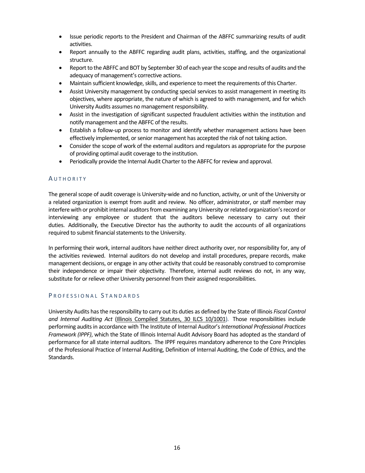- Issue periodic reports to the President and Chairman of the ABFFC summarizing results of audit activities.
- Report annually to the ABFFC regarding audit plans, activities, staffing, and the organizational structure.
- Report to the ABFFC and BOT by September 30 of each year the scope and results of audits and the adequacy of management's corrective actions.
- Maintain sufficient knowledge, skills, and experience to meet the requirements of this Charter.
- Assist University management by conducting special services to assist management in meeting its objectives, where appropriate, the nature of which is agreed to with management, and for which University Audits assumes no management responsibility.
- Assist in the investigation of significant suspected fraudulent activities within the institution and notify management and the ABFFC of the results.
- Establish a follow-up process to monitor and identify whether management actions have been effectively implemented, or senior management has accepted the risk of not taking action.
- Consider the scope of work of the external auditors and regulators as appropriate for the purpose of providing optimal audit coverage to the institution.
- Periodically provide the Internal Audit Charter to the ABFFC for review and approval.

#### **AUTHORITY**

The general scope of audit coverage is University-wide and no function, activity, or unit of the University or a related organization is exempt from audit and review. No officer, administrator, or staff member may interfere with or prohibit internal auditors from examining any University or related organization's record or interviewing any employee or student that the auditors believe necessary to carry out their duties. Additionally, the Executive Director has the authority to audit the accounts of all organizations required to submit financial statements to the University.

In performing their work, internal auditors have neither direct authority over, nor responsibility for, any of the activities reviewed. Internal auditors do not develop and install procedures, prepare records, make management decisions, or engage in any other activity that could be reasonably construed to compromise their independence or impair their objectivity. Therefore, internal audit reviews do not, in any way, substitute for or relieve other University personnel from their assigned responsibilities.

#### PROFESSIONAL STANDARDS

University Audits has the responsibility to carry out its duties as defined by the State of Illinois *Fiscal Control and Internal Auditing Act* [\(Illinois Compiled Statutes, 30 ILCS 10/1001\)](http://www.ilga.gov/legislation/ilcs/ilcs5.asp?ActID=467&ChapAct=30%26nbsp%3BILCS%26nbsp%3B10%2F&ChapterID=7&ChapterName=FINANCE&ActName=Fiscal+Control+and+Internal+Auditing+Act). Those responsibilities include performing audits in accordance with The Institute of Internal Auditor's*International Professional Practices Framework (IPPF)*, which the State of Illinois Internal Audit Advisory Board has adopted as the standard of performance for all state internal auditors. The IPPF requires mandatory adherence to the Core Principles of the Professional Practice of Internal Auditing, Definition of Internal Auditing, the Code of Ethics, and the Standards.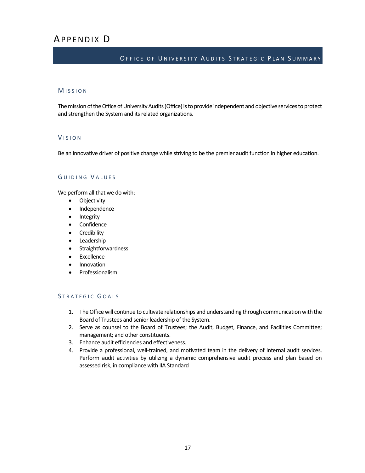## APPENDIX D

#### OFFICE OF UNIVERSITY AUDITS STRATEGIC PLAN SUMMARY

#### M ISSION

The mission of the Office of University Audits (Office) is to provide independent and objective services to protect and strengthen the System and its related organizations.

#### V ISION

Be an innovative driver of positive change while striving to be the premier audit function in higher education.

#### G UIDING V ALUES

We perform all that we do with:

- Objectivity
- Independence
- **Integrity**
- Confidence
- **Credibility**
- **Leadership**
- **Straightforwardness**
- **Excellence**
- Innovation
- Professionalism

#### STRATEGIC GOALS

- 1. TheOffice will continue to cultivate relationships and understanding through communication with the Board of Trustees and senior leadership of the System.
- 2. Serve as counsel to the Board of Trustees; the Audit, Budget, Finance, and Facilities Committee; management; and other constituents.
- 3. Enhance audit efficiencies and effectiveness.
- 4. Provide a professional, well-trained, and motivated team in the delivery of internal audit services. Perform audit activities by utilizing a dynamic comprehensive audit process and plan based on assessed risk, in compliance with IIA Standard